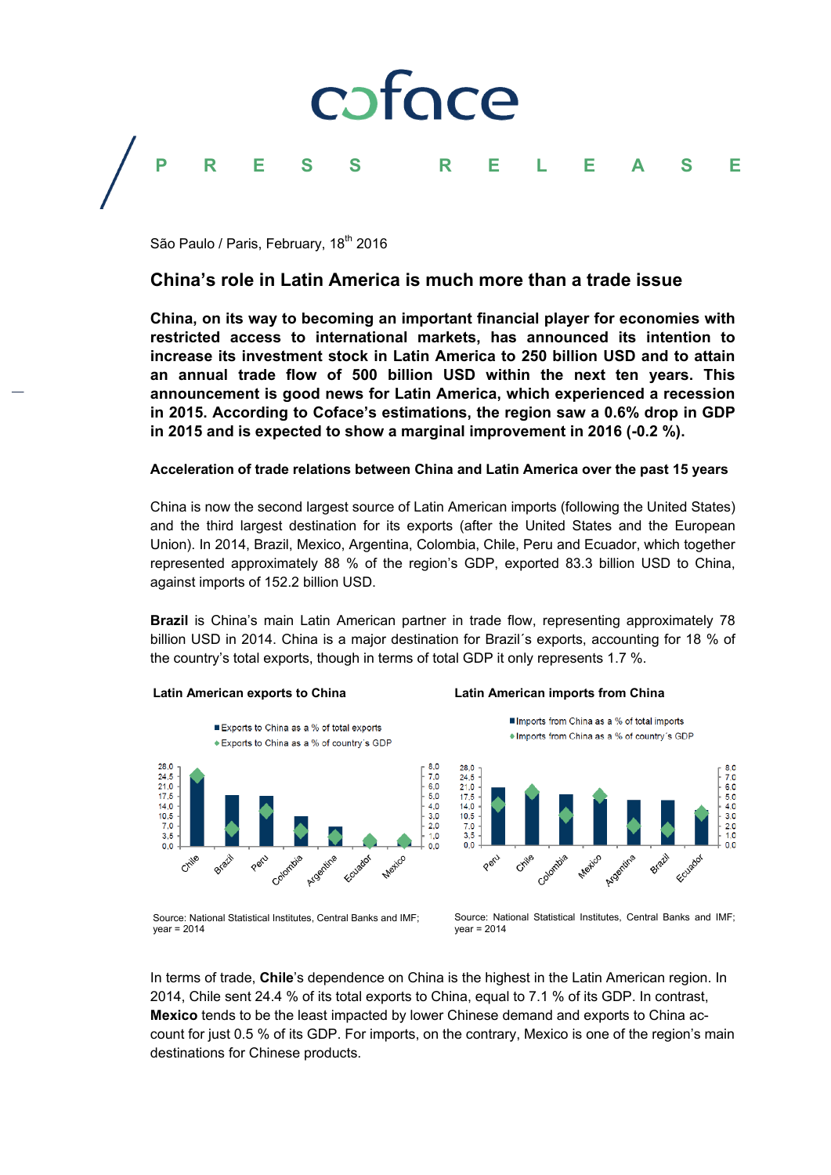## foce

### **PRESS RELEASE**

São Paulo / Paris, February, 18<sup>th</sup> 2016

### **China's role in Latin America is much more than a trade issue**

**China, on its way to becoming an important financial player for economies with restricted access to international markets, has announced its intention to increase its investment stock in Latin America to 250 billion USD and to attain an annual trade flow of 500 billion USD within the next ten years. This announcement is good news for Latin America, which experienced a recession in 2015. According to Coface's estimations, the region saw a 0.6% drop in GDP in 2015 and is expected to show a marginal improvement in 2016 (-0.2 %).** 

### **Acceleration of trade relations between China and Latin America over the past 15 years**

China is now the second largest source of Latin American imports (following the United States) and the third largest destination for its exports (after the United States and the European Union). In 2014, Brazil, Mexico, Argentina, Colombia, Chile, Peru and Ecuador, which together represented approximately 88 % of the region's GDP, exported 83.3 billion USD to China, against imports of 152.2 billion USD.

**Brazil** is China's main Latin American partner in trade flow, representing approximately 78 billion USD in 2014. China is a major destination for Brazil´s exports, accounting for 18 % of the country's total exports, though in terms of total GDP it only represents 1.7 %.

### **Latin American exports to China**





### **Latin American imports from China**





Source: National Statistical Institutes, Central Banks and IMF;  $year = 2014$ 

Source: National Statistical Institutes, Central Banks and IMF;  $year = 2014$ 

In terms of trade, **Chile**'s dependence on China is the highest in the Latin American region. In 2014, Chile sent 24.4 % of its total exports to China, equal to 7.1 % of its GDP. In contrast, **Mexico** tends to be the least impacted by lower Chinese demand and exports to China account for just 0.5 % of its GDP. For imports, on the contrary, Mexico is one of the region's main destinations for Chinese products.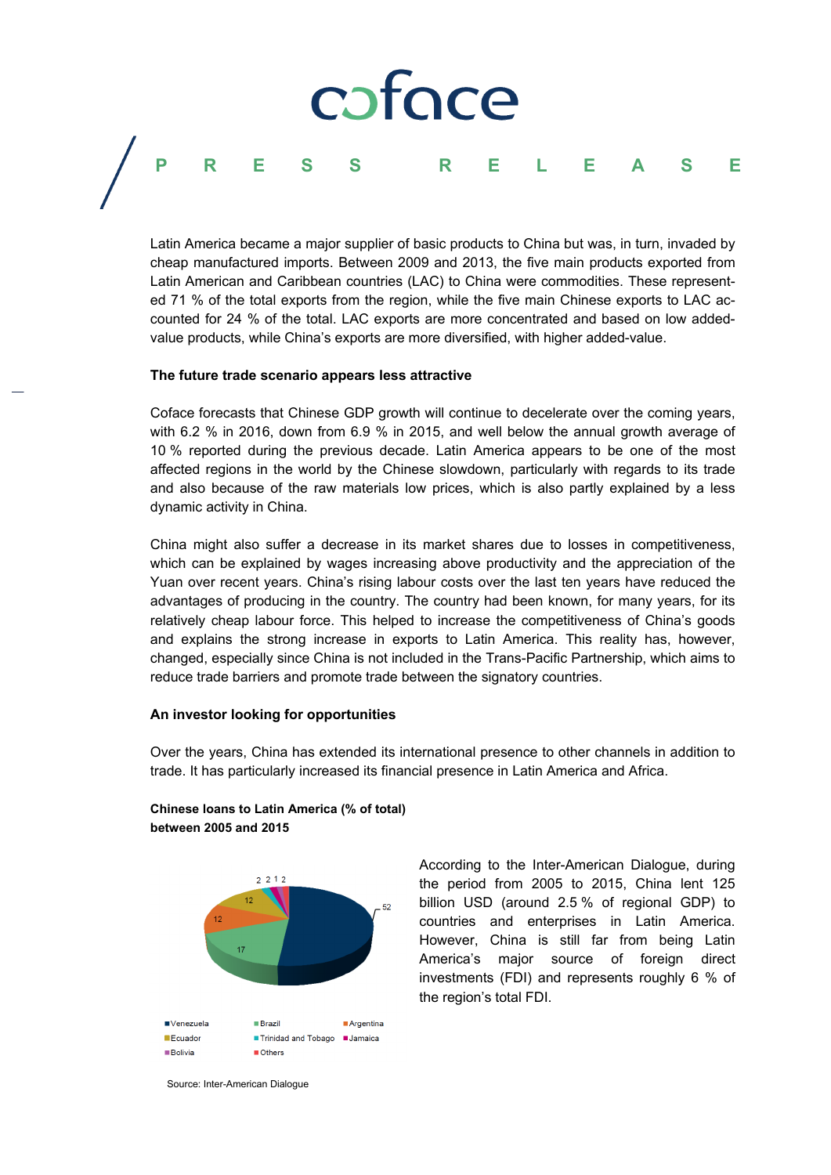## pface **PRESS RELEASE**

Latin America became a major supplier of basic products to China but was, in turn, invaded by cheap manufactured imports. Between 2009 and 2013, the five main products exported from Latin American and Caribbean countries (LAC) to China were commodities. These represented 71 % of the total exports from the region, while the five main Chinese exports to LAC accounted for 24 % of the total. LAC exports are more concentrated and based on low addedvalue products, while China's exports are more diversified, with higher added-value.

### **The future trade scenario appears less attractive**

Coface forecasts that Chinese GDP growth will continue to decelerate over the coming years, with 6.2 % in 2016, down from 6.9 % in 2015, and well below the annual growth average of 10 % reported during the previous decade. Latin America appears to be one of the most affected regions in the world by the Chinese slowdown, particularly with regards to its trade and also because of the raw materials low prices, which is also partly explained by a less dynamic activity in China.

China might also suffer a decrease in its market shares due to losses in competitiveness, which can be explained by wages increasing above productivity and the appreciation of the Yuan over recent years. China's rising labour costs over the last ten years have reduced the advantages of producing in the country. The country had been known, for many years, for its relatively cheap labour force. This helped to increase the competitiveness of China's goods and explains the strong increase in exports to Latin America. This reality has, however, changed, especially since China is not included in the Trans-Pacific Partnership, which aims to reduce trade barriers and promote trade between the signatory countries.

### **An investor looking for opportunities**

Over the years, China has extended its international presence to other channels in addition to trade. It has particularly increased its financial presence in Latin America and Africa.



**Chinese loans to Latin America (% of total) between 2005 and 2015** 

> According to the Inter-American Dialogue, during the period from 2005 to 2015, China lent 125 billion USD (around 2.5 % of regional GDP) to countries and enterprises in Latin America. However, China is still far from being Latin America's major source of foreign direct investments (FDI) and represents roughly 6 % of the region's total FDI.

Source: Inter-American Dialogue